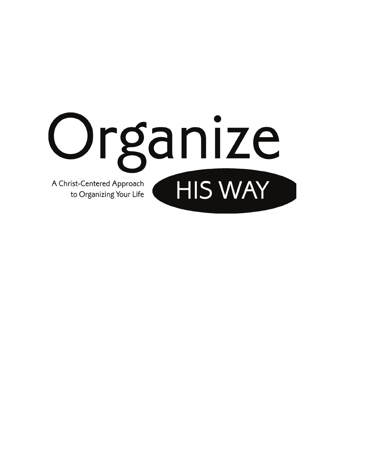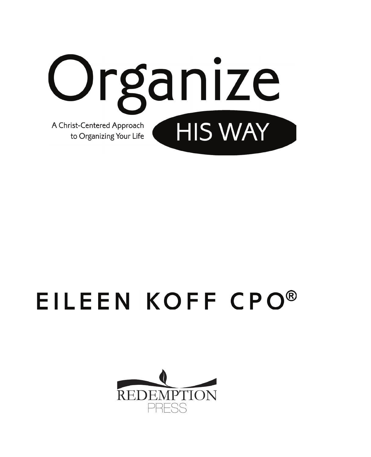

# EILEEN KOFF CPO®

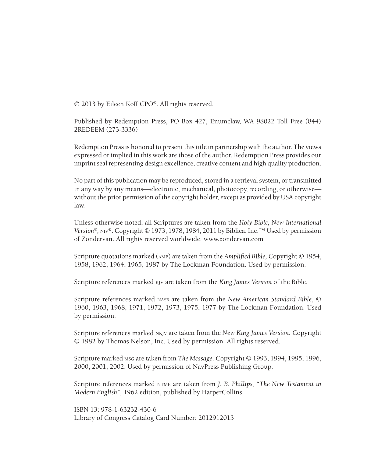© 2013 by Eileen Koff CPO®. All rights reserved.

Published by Redemption Press, PO Box 427, Enumclaw, WA 98022 Toll Free (844) 2REDEEM (273-3336)

Redemption Press is honored to present this title in partnership with the author. The views expressed or implied in this work are those of the author. Redemption Press provides our imprint seal representing design excellence, creative content and high quality production.

No part of this publication may be reproduced, stored in a retrieval system, or transmitted in any way by any means—electronic, mechanical, photocopy, recording, or otherwise without the prior permission of the copyright holder, except as provided by USA copyright law.

Unless otherwise noted, all Scriptures are taken from the *Holy Bible, New International Version*®*,* niv®. Copyright © 1973, 1978, 1984, 2011 by Biblica, Inc.™ Used by permission of Zondervan. All rights reserved worldwide. www.zondervan.com

Scripture quotations marked (amp) are taken from the *Amplified Bible,* Copyright © 1954, 1958, 1962, 1964, 1965, 1987 by The Lockman Foundation. Used by permission.

Scripture references marked kjv are taken from the *King James Version* of the Bible.

Scripture references marked nasb are taken from the *New American Standard Bible*, © 1960, 1963, 1968, 1971, 1972, 1973, 1975, 1977 by The Lockman Foundation. Used by permission.

Scripture references marked nkjv are taken from the *New King James Version*. Copyright © 1982 by Thomas Nelson, Inc. Used by permission. All rights reserved.

Scripture marked msg are taken from *The Message*. Copyright © 1993, 1994, 1995, 1996, 2000, 2001, 2002. Used by permission of NavPress Publishing Group.

Scripture references marked ntme are taken from *J. B. Phillips, "The New Testament in Modern English",* 1962 edition, published by HarperCollins.

ISBN 13: 978-1-63232-430-6 Library of Congress Catalog Card Number: 2012912013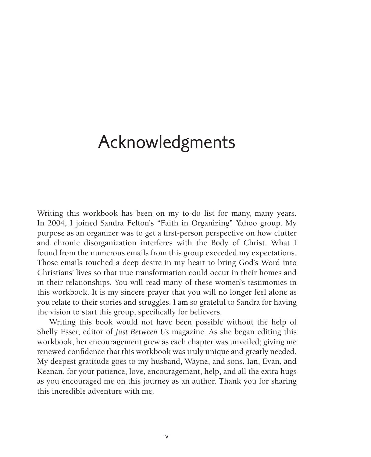# Acknowledgments

Writing this workbook has been on my to-do list for many, many years. In 2004, I joined Sandra Felton's "Faith in Organizing" Yahoo group. My purpose as an organizer was to get a first-person perspective on how clutter and chronic disorganization interferes with the Body of Christ. What I found from the numerous emails from this group exceeded my expectations. Those emails touched a deep desire in my heart to bring God's Word into Christians' lives so that true transformation could occur in their homes and in their relationships. You will read many of these women's testimonies in this workbook. It is my sincere prayer that you will no longer feel alone as you relate to their stories and struggles. I am so grateful to Sandra for having the vision to start this group, specifically for believers.

Writing this book would not have been possible without the help of Shelly Esser, editor of *Just Between Us* magazine. As she began editing this workbook, her encouragement grew as each chapter was unveiled; giving me renewed confidence that this workbook was truly unique and greatly needed. My deepest gratitude goes to my husband, Wayne, and sons, Ian, Evan, and Keenan, for your patience, love, encouragement, help, and all the extra hugs as you encouraged me on this journey as an author. Thank you for sharing this incredible adventure with me.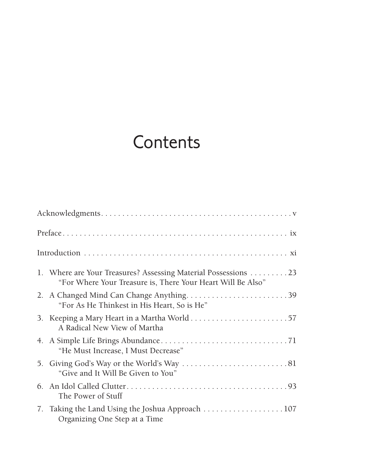# **Contents**

| 1. Where are Your Treasures? Assessing Material Possessions 23<br>"For Where Your Treasure is, There Your Heart Will Be Also" |
|-------------------------------------------------------------------------------------------------------------------------------|
| 2. A Changed Mind Can Change Anything39<br>"For As He Thinkest in His Heart, So is He"                                        |
| A Radical New View of Martha                                                                                                  |
| "He Must Increase, I Must Decrease"                                                                                           |
| "Give and It Will Be Given to You"                                                                                            |
| The Power of Stuff                                                                                                            |
| Organizing One Step at a Time                                                                                                 |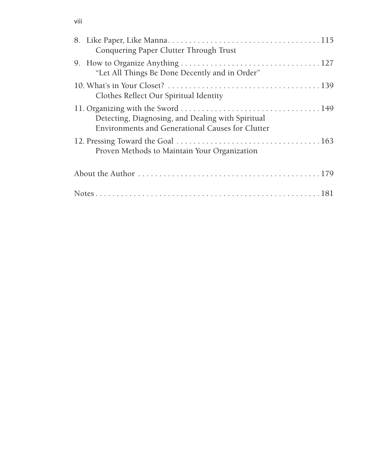| Conquering Paper Clutter Through Trust                                                                       |  |
|--------------------------------------------------------------------------------------------------------------|--|
| "Let All Things Be Done Decently and in Order"                                                               |  |
| Clothes Reflect Our Spiritual Identity                                                                       |  |
| Detecting, Diagnosing, and Dealing with Spiritual<br><b>Environments and Generational Causes for Clutter</b> |  |
| Proven Methods to Maintain Your Organization                                                                 |  |
|                                                                                                              |  |
|                                                                                                              |  |

viii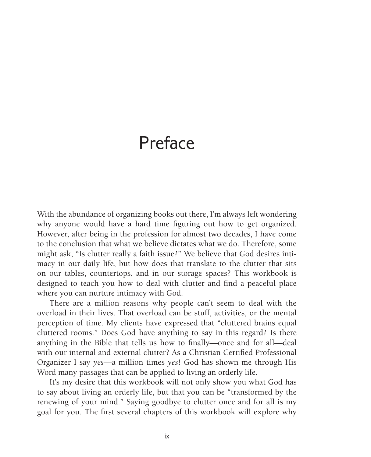# Preface

With the abundance of organizing books out there, I'm always left wondering why anyone would have a hard time figuring out how to get organized. However, after being in the profession for almost two decades, I have come to the conclusion that what we believe dictates what we do. Therefore, some might ask, "Is clutter really a faith issue?" We believe that God desires intimacy in our daily life, but how does that translate to the clutter that sits on our tables, countertops, and in our storage spaces? This workbook is designed to teach you how to deal with clutter and find a peaceful place where you can nurture intimacy with God.

There are a million reasons why people can't seem to deal with the overload in their lives. That overload can be stuff, activities, or the mental perception of time. My clients have expressed that "cluttered brains equal cluttered rooms." Does God have anything to say in this regard? Is there anything in the Bible that tells us how to finally—once and for all—deal with our internal and external clutter? As a Christian Certified Professional Organizer I say *yes*—a million times *yes*! God has shown me through His Word many passages that can be applied to living an orderly life.

It's my desire that this workbook will not only show you what God has to say about living an orderly life, but that you can be "transformed by the renewing of your mind." Saying goodbye to clutter once and for all is my goal for you. The first several chapters of this workbook will explore why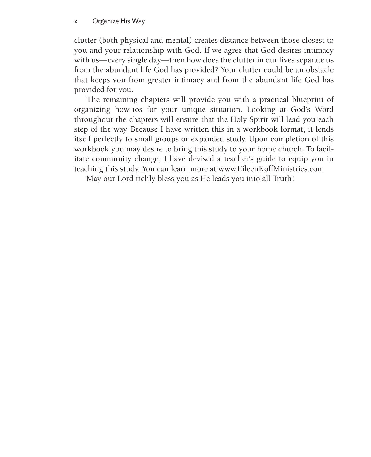clutter (both physical and mental) creates distance between those closest to you and your relationship with God. If we agree that God desires intimacy with us—every single day—then how does the clutter in our lives separate us from the abundant life God has provided? Your clutter could be an obstacle that keeps you from greater intimacy and from the abundant life God has provided for you.

The remaining chapters will provide you with a practical blueprint of organizing how-tos for your unique situation. Looking at God's Word throughout the chapters will ensure that the Holy Spirit will lead you each step of the way. Because I have written this in a workbook format, it lends itself perfectly to small groups or expanded study. Upon completion of this workbook you may desire to bring this study to your home church. To facilitate community change, I have devised a teacher's guide to equip you in teaching this study. You can learn more at www.EileenKoffMinistries.com

May our Lord richly bless you as He leads you into all Truth!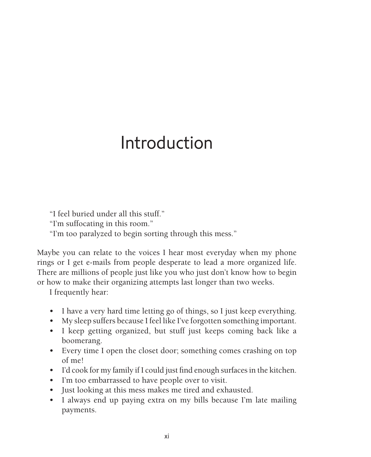# Introduction

"I feel buried under all this stuff."

"I'm suffocating in this room."

"I'm too paralyzed to begin sorting through this mess."

Maybe you can relate to the voices I hear most everyday when my phone rings or I get e-mails from people desperate to lead a more organized life. There are millions of people just like you who just don't know how to begin or how to make their organizing attempts last longer than two weeks.

I frequently hear:

- I have a very hard time letting go of things, so I just keep everything.
- My sleep suffers because I feel like I've forgotten something important.
- I keep getting organized, but stuff just keeps coming back like a boomerang.
- Every time I open the closet door; something comes crashing on top of me!
- I'd cook for my family if I could just find enough surfaces in the kitchen.
- I'm too embarrassed to have people over to visit.
- Just looking at this mess makes me tired and exhausted.
- I always end up paying extra on my bills because I'm late mailing payments.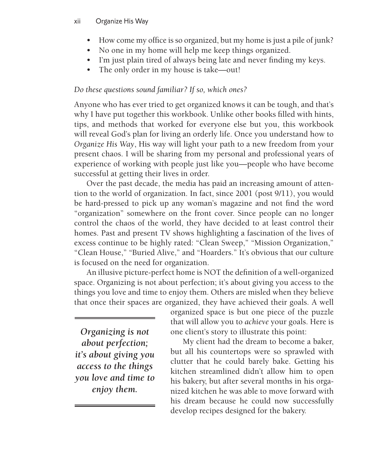- How come my office is so organized, but my home is just a pile of junk?
- No one in my home will help me keep things organized.
- I'm just plain tired of always being late and never finding my keys.
- The only order in my house is take—out!

#### *Do these questions sound familiar? If so, which ones?*

Anyone who has ever tried to get organized knows it can be tough, and that's why I have put together this workbook. Unlike other books filled with hints, tips, and methods that worked for everyone else but you, this workbook will reveal God's plan for living an orderly life. Once you understand how to *Organize His Way*, His way will light your path to a new freedom from your present chaos. I will be sharing from my personal and professional years of experience of working with people just like you—people who have become successful at getting their lives in order.

Over the past decade, the media has paid an increasing amount of attention to the world of organization. In fact, since 2001 (post 9/11), you would be hard-pressed to pick up any woman's magazine and not find the word "organization" somewhere on the front cover. Since people can no longer control the chaos of the world, they have decided to at least control their homes. Past and present TV shows highlighting a fascination of the lives of excess continue to be highly rated: "Clean Sweep," "Mission Organization," "Clean House," "Buried Alive," and "Hoarders." It's obvious that our culture is focused on the need for organization.

An illusive picture-perfect home is NOT the definition of a well-organized space. Organizing is not about perfection; it's about giving you access to the things you love and time to enjoy them. Others are misled when they believe that once their spaces are organized, they have achieved their goals. A well

*Organizing is not about perfection; it's about giving you access to the things you love and time to enjoy them.*

organized space is but one piece of the puzzle that will allow you to *achieve* your goals. Here is one client's story to illustrate this point:

My client had the dream to become a baker, but all his countertops were so sprawled with clutter that he could barely bake. Getting his kitchen streamlined didn't allow him to open his bakery, but after several months in his organized kitchen he was able to move forward with his dream because he could now successfully develop recipes designed for the bakery.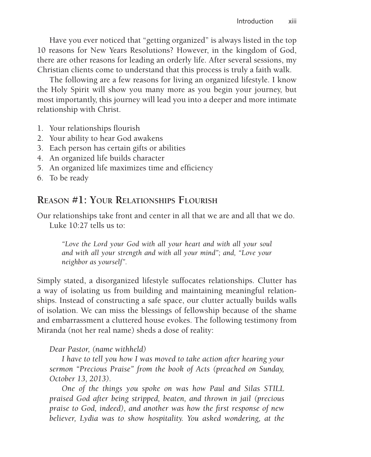Have you ever noticed that "getting organized" is always listed in the top 10 reasons for New Years Resolutions? However, in the kingdom of God, there are other reasons for leading an orderly life. After several sessions, my Christian clients come to understand that this process is truly a faith walk.

The following are a few reasons for living an organized lifestyle. I know the Holy Spirit will show you many more as you begin your journey, but most importantly, this journey will lead you into a deeper and more intimate relationship with Christ.

- 1. Your relationships flourish
- 2. Your ability to hear God awakens
- 3. Each person has certain gifts or abilities
- 4. An organized life builds character
- 5. An organized life maximizes time and efficiency
- 6. To be ready

# **Reason #1: Your Relationships Flourish**

Our relationships take front and center in all that we are and all that we do. Luke 10:27 tells us to:

*"Love the Lord your God with all your heart and with all your soul and with all your strength and with all your mind"; and, "Love your neighbor as yourself".*

Simply stated, a disorganized lifestyle suffocates relationships. Clutter has a way of isolating us from building and maintaining meaningful relationships. Instead of constructing a safe space, our clutter actually builds walls of isolation. We can miss the blessings of fellowship because of the shame and embarrassment a cluttered house evokes. The following testimony from Miranda (not her real name) sheds a dose of reality:

#### *Dear Pastor, (name withheld)*

*I have to tell you how I was moved to take action after hearing your sermon "Precious Praise" from the book of Acts (preached on Sunday, October 13, 2013).*

*One of the things you spoke on was how Paul and Silas STILL praised God after being stripped, beaten, and thrown in jail (precious praise to God, indeed), and another was how the first response of new believer, Lydia was to show hospitality. You asked wondering, at the*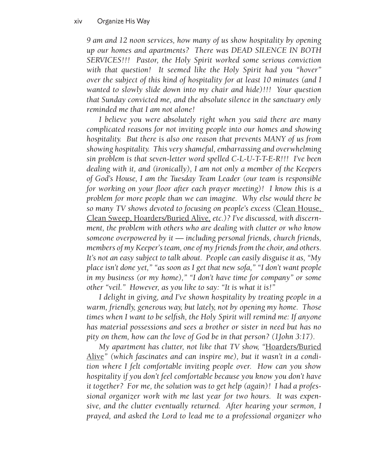*9 am and 12 noon services, how many of us show hospitality by opening up our homes and apartments? There was DEAD SILENCE IN BOTH SERVICES!!! Pastor, the Holy Spirit worked some serious conviction with that question! It seemed like the Holy Spirit had you "hover" over the subject of this kind of hospitality for at least 10 minutes (and I wanted to slowly slide down into my chair and hide)!!! Your question that Sunday convicted me, and the absolute silence in the sanctuary only reminded me that I am not alone!*

*I believe you were absolutely right when you said there are many complicated reasons for not inviting people into our homes and showing hospitality. But there is also one reason that prevents MANY of us from showing hospitality. This very shameful, embarrassing and overwhelming sin problem is that seven-letter word spelled C-L-U-T-T-E-R!!! I've been dealing with it, and (ironically), I am not only a member of the Keepers of God's House, I am the Tuesday Team Leader (our team is responsible for working on your floor after each prayer meeting)! I know this is a problem for more people than we can imagine. Why else would there be so many TV shows devoted to focusing on people's excess (*Clean House, Clean Sweep, Hoarders/Buried Alive*, etc.)? I've discussed, with discernment, the problem with others who are dealing with clutter or who know someone overpowered by it — including personal friends, church friends, members of my Keeper's team, one of my friends from the choir, and others. It's not an easy subject to talk about. People can easily disguise it as, "My place isn't done yet," "as soon as I get that new sofa," "I don't want people in my business (or my home)," "I don't have time for company" or some other "veil." However, as you like to say: "It is what it is!"*

*I delight in giving, and I've shown hospitality by treating people in a warm, friendly, generous way, but lately, not by opening my home. Those times when I want to be selfish, the Holy Spirit will remind me: If anyone has material possessions and sees a brother or sister in need but has no pity on them, how can the love of God be in that person? (1John 3:17).*

*My apartment has clutter, not like that TV show, "*Hoarders/Buried Alive*" (which fascinates and can inspire me), but it wasn't in a condition where I felt comfortable inviting people over. How can you show hospitality if you don't feel comfortable because you know you don't have it together? For me, the solution was to get help (again)! I had a professional organizer work with me last year for two hours. It was expensive, and the clutter eventually returned. After hearing your sermon, I prayed, and asked the Lord to lead me to a professional organizer who*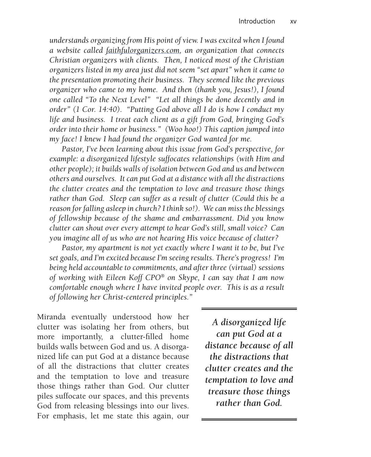*understands organizing from His point of view. I was excited when I found a website called faithfulorganizers.com, an organization that connects Christian organizers with clients. Then, I noticed most of the Christian organizers listed in my area just did not seem "set apart" when it came to the presentation promoting their business. They seemed like the previous organizer who came to my home. And then (thank you, Jesus!), I found one called "To the Next Level" "Let all things be done decently and in order" (1 Cor. 14:40). "Putting God above all I do is how I conduct my life and business. I treat each client as a gift from God, bringing God's order into their home or business." (Woo hoo!) This caption jumped into my face! I knew I had found the organizer God wanted for me.*

*Pastor, I've been learning about this issue from God's perspective, for example: a disorganized lifestyle suffocates relationships (with Him and other people); it builds walls of isolation between God and us and between others and ourselves. It can put God at a distance with all the distractions the clutter creates and the temptation to love and treasure those things rather than God. Sleep can suffer as a result of clutter (Could this be a reason for falling asleep in church? I think so!). We can miss the blessings of fellowship because of the shame and embarrassment. Did you know clutter can shout over every attempt to hear God's still, small voice? Can you imagine all of us who are not hearing His voice because of clutter?*

*Pastor, my apartment is not yet exactly where I want it to be, but I've set goals, and I'm excited because I'm seeing results. There's progress! I'm being held accountable to commitments, and after three (virtual) sessions of working with Eileen Koff CPO® on Skype, I can say that I am now comfortable enough where I have invited people over. This is as a result of following her Christ-centered principles."* 

Miranda eventually understood how her clutter was isolating her from others, but more importantly, a clutter-filled home builds walls between God and us. A disorganized life can put God at a distance because of all the distractions that clutter creates and the temptation to love and treasure those things rather than God. Our clutter piles suffocate our spaces, and this prevents God from releasing blessings into our lives. For emphasis, let me state this again, our

*A disorganized life can put God at a distance because of all the distractions that clutter creates and the temptation to love and treasure those things rather than God.*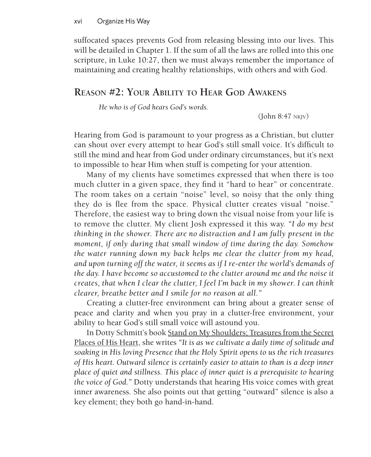suffocated spaces prevents God from releasing blessing into our lives. This will be detailed in Chapter 1. If the sum of all the laws are rolled into this one scripture, in Luke 10:27, then we must always remember the importance of maintaining and creating healthy relationships, with others and with God.

### **Reason #2: Your Ability to Hear God Awakens**

*He who is of God hears God's words.*

(John 8:47 nkjv)

Hearing from God is paramount to your progress as a Christian, but clutter can shout over every attempt to hear God's still small voice. It's difficult to still the mind and hear from God under ordinary circumstances, but it's next to impossible to hear Him when stuff is competing for your attention.

Many of my clients have sometimes expressed that when there is too much clutter in a given space, they find it "hard to hear" or concentrate. The room takes on a certain "noise" level, so noisy that the only thing they do is flee from the space. Physical clutter creates visual "noise." Therefore, the easiest way to bring down the visual noise from your life is to remove the clutter. My client Josh expressed it this way. *"I do my best thinking in the shower. There are no distraction and I am fully present in the moment, if only during that small window of time during the day. Somehow the water running down my back helps me clear the clutter from my head, and upon turning off the water, it seems as if I re-enter the world's demands of the day. I have become so accustomed to the clutter around me and the noise it creates, that when I clear the clutter, I feel I'm back in my shower. I can think clearer, breathe better and I smile for no reason at all."*

Creating a clutter-free environment can bring about a greater sense of peace and clarity and when you pray in a clutter-free environment, your ability to hear God's still small voice will astound you.

In Dotty Schmitt's book Stand on My Shoulders; Treasures from the Secret Places of His Heart, she writes *"It is as we cultivate a daily time of solitude and soaking in His loving Presence that the Holy Spirit opens to us the rich treasures of His heart. Outward silence is certainly easier to attain to than is a deep inner place of quiet and stillness. This place of inner quiet is a prerequisite to hearing the voice of God."* Dotty understands that hearing His voice comes with great inner awareness. She also points out that getting "outward" silence is also a key element; they both go hand-in-hand.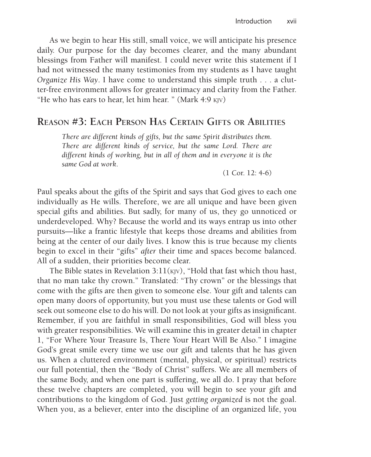As we begin to hear His still, small voice, we will anticipate his presence daily. Our purpose for the day becomes clearer, and the many abundant blessings from Father will manifest. I could never write this statement if I had not witnessed the many testimonies from my students as I have taught *Organize His Way*. I have come to understand this simple truth . . . a clutter-free environment allows for greater intimacy and clarity from the Father. "He who has ears to hear, let him hear. " (Mark 4:9 kjv)

### **Reason #3: Each Person Has Certain Gifts or Abilities**

*There are different kinds of gifts, but the same Spirit distributes them. There are different kinds of service, but the same Lord. There are different kinds of working, but in all of them and in everyone it is the same God at work*.

(1 Cor. 12: 4-6)

Paul speaks about the gifts of the Spirit and says that God gives to each one individually as He wills. Therefore, we are all unique and have been given special gifts and abilities. But sadly, for many of us, they go unnoticed or underdeveloped. Why? Because the world and its ways entrap us into other pursuits—like a frantic lifestyle that keeps those dreams and abilities from being at the center of our daily lives. I know this is true because my clients begin to excel in their "gifts" *after* their time and spaces become balanced. All of a sudden, their priorities become clear.

The Bible states in Revelation 3:11(kjv), "Hold that fast which thou hast, that no man take thy crown." Translated: "Thy crown" or the blessings that come with the gifts are then given to someone else. Your gift and talents can open many doors of opportunity, but you must use these talents or God will seek out someone else to do his will. Do not look at your gifts as insignificant. Remember, if you are faithful in small responsibilities, God will bless you with greater responsibilities. We will examine this in greater detail in chapter 1, "For Where Your Treasure Is, There Your Heart Will Be Also." I imagine God's great smile every time we use our gift and talents that he has given us. When a cluttered environment (mental, physical, or spiritual) restricts our full potential, then the "Body of Christ" suffers. We are all members of the same Body, and when one part is suffering, we all do. I pray that before these twelve chapters are completed, you will begin to see your gift and contributions to the kingdom of God. Just *getting organized* is not the goal. When you, as a believer, enter into the discipline of an organized life, you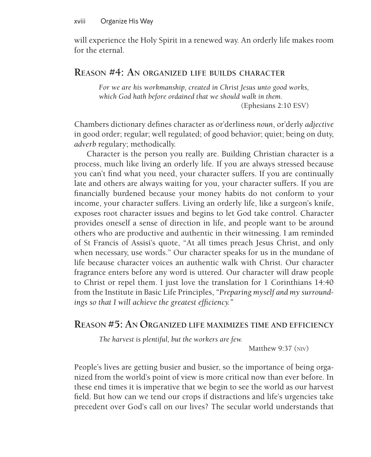will experience the Holy Spirit in a renewed way. An orderly life makes room for the eternal.

### **Reason #4: An organized life builds character**

*For we are his workmanship, created in Christ Jesus unto good works, which God hath before ordained that we should walk in them.* (Ephesians 2:10 ESV)

Chambers dictionary defines character as or'derliness *noun*, or'derly *adjective* in good order; regular; well regulated; of good behavior; quiet; being on duty, *adverb* regulary; methodically.

Character is the person you really are. Building Christian character is a process, much like living an orderly life. If you are always stressed because you can't find what you need, your character suffers. If you are continually late and others are always waiting for you, your character suffers. If you are financially burdened because your money habits do not conform to your income, your character suffers. Living an orderly life, like a surgeon's knife, exposes root character issues and begins to let God take control. Character provides oneself a sense of direction in life, and people want to be around others who are productive and authentic in their witnessing. I am reminded of St Francis of Assisi's quote, "At all times preach Jesus Christ, and only when necessary, use words." Our character speaks for us in the mundane of life because character voices an authentic walk with Christ. Our character fragrance enters before any word is uttered. Our character will draw people to Christ or repel them. I just love the translation for 1 Corinthians 14:40 from the Institute in Basic Life Principles, *"Preparing myself and my surroundings so that I will achieve the greatest efficiency."*

#### **Reason #5: An Organized life maximizes time and efficiency**

*The harvest is plentiful, but the workers are few.*

Matthew 9:37 (niv)

People's lives are getting busier and busier, so the importance of being organized from the world's point of view is more critical now than ever before. In these end times it is imperative that we begin to see the world as our harvest field. But how can we tend our crops if distractions and life's urgencies take precedent over God's call on our lives? The secular world understands that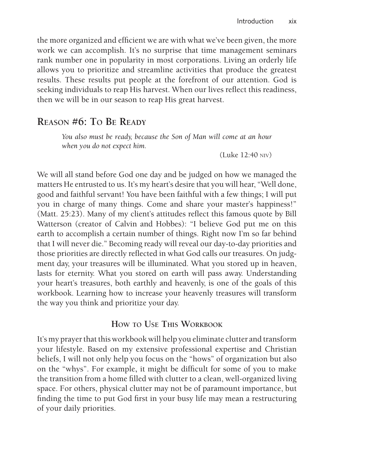the more organized and efficient we are with what we've been given, the more work we can accomplish. It's no surprise that time management seminars rank number one in popularity in most corporations. Living an orderly life allows you to prioritize and streamline activities that produce the greatest results. These results put people at the forefront of our attention. God is seeking individuals to reap His harvest. When our lives reflect this readiness, then we will be in our season to reap His great harvest.

# **Reason #6: To Be Ready**

*You also must be ready, because the Son of Man will come at an hour when you do not expect him.*

(Luke 12:40 niv)

We will all stand before God one day and be judged on how we managed the matters He entrusted to us. It's my heart's desire that you will hear, "Well done, good and faithful servant! You have been faithful with a few things; I will put you in charge of many things. Come and share your master's happiness!" (Matt. 25:23). Many of my client's attitudes reflect this famous quote by Bill Watterson (creator of Calvin and Hobbes): "I believe God put me on this earth to accomplish a certain number of things. Right now I'm so far behind that I will never die." Becoming ready will reveal our day-to-day priorities and those priorities are directly reflected in what God calls our treasures. On judgment day, your treasures will be illuminated. What you stored up in heaven, lasts for eternity. What you stored on earth will pass away. Understanding your heart's treasures, both earthly and heavenly, is one of the goals of this workbook. Learning how to increase your heavenly treasures will transform the way you think and prioritize your day.

#### **How to Use This Workbook**

It's my prayer that this workbook will help you eliminate clutter and transform your lifestyle. Based on my extensive professional expertise and Christian beliefs, I will not only help you focus on the "hows" of organization but also on the "whys". For example**,** it might be difficult for some of you to make the transition from a home filled with clutter to a clean, well-organized living space. For others, physical clutter may not be of paramount importance, but finding the time to put God first in your busy life may mean a restructuring of your daily priorities.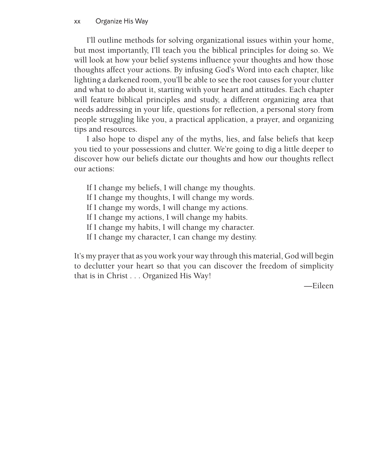I'll outline methods for solving organizational issues within your home, but most importantly, I'll teach you the biblical principles for doing so. We will look at how your belief systems influence your thoughts and how those thoughts affect your actions. By infusing God's Word into each chapter, like lighting a darkened room, you'll be able to see the root causes for your clutter and what to do about it, starting with your heart and attitudes. Each chapter will feature biblical principles and study, a different organizing area that needs addressing in your life, questions for reflection, a personal story from people struggling like you, a practical application, a prayer, and organizing tips and resources.

I also hope to dispel any of the myths, lies, and false beliefs that keep you tied to your possessions and clutter. We're going to dig a little deeper to discover how our beliefs dictate our thoughts and how our thoughts reflect our actions:

- If I change my beliefs, I will change my thoughts.
- If I change my thoughts, I will change my words.
- If I change my words, I will change my actions.
- If I change my actions, I will change my habits.
- If I change my habits, I will change my character.
- If I change my character, I can change my destiny.

It's my prayer that as you work your way through this material, God will begin to declutter your heart so that you can discover the freedom of simplicity that is in Christ . . . Organized His Way!

—Eileen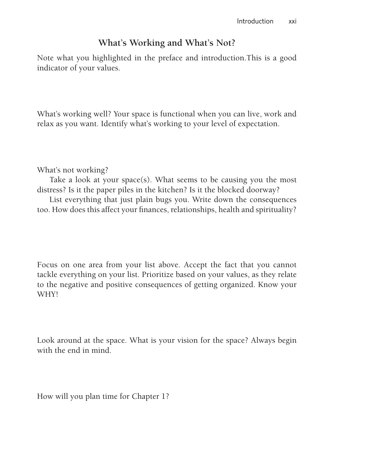### **What's Working and What's Not?**

Note what you highlighted in the preface and introduction.This is a good indicator of your values.

What's working well? Your space is functional when you can live, work and relax as you want. Identify what's working to your level of expectation.

What's not working?

Take a look at your space(s). What seems to be causing you the most distress? Is it the paper piles in the kitchen? Is it the blocked doorway?

List everything that just plain bugs you. Write down the consequences too. How does this affect your finances, relationships, health and spirituality?

Focus on one area from your list above. Accept the fact that you cannot tackle everything on your list. Prioritize based on your values, as they relate to the negative and positive consequences of getting organized. Know your WHY!

Look around at the space. What is your vision for the space? Always begin with the end in mind.

How will you plan time for Chapter 1?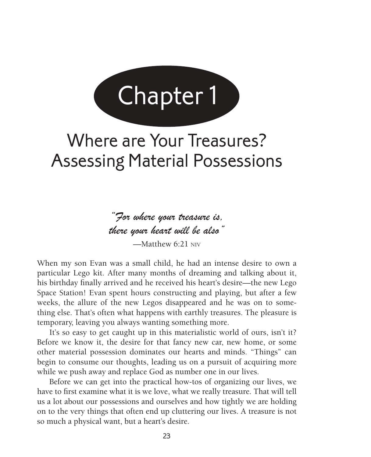

# Where are Your Treasures? Assessing Material Possessions

*"For where your treasure is, there your heart will be also"*

 $-Mat$ hew 6:21 NIV

When my son Evan was a small child, he had an intense desire to own a particular Lego kit. After many months of dreaming and talking about it, his birthday finally arrived and he received his heart's desire—the new Lego Space Station! Evan spent hours constructing and playing, but after a few weeks, the allure of the new Legos disappeared and he was on to something else. That's often what happens with earthly treasures. The pleasure is temporary, leaving you always wanting something more.

It's so easy to get caught up in this materialistic world of ours, isn't it? Before we know it, the desire for that fancy new car, new home, or some other material possession dominates our hearts and minds. "Things" can begin to consume our thoughts, leading us on a pursuit of acquiring more while we push away and replace God as number one in our lives.

Before we can get into the practical how-tos of organizing our lives, we have to first examine what it is we love, what we really treasure. That will tell us a lot about our possessions and ourselves and how tightly we are holding on to the very things that often end up cluttering our lives. A treasure is not so much a physical want, but a heart's desire.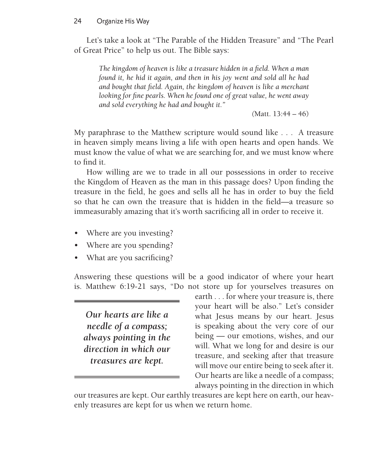Let's take a look at "The Parable of the Hidden Treasure" and "The Pearl of Great Price" to help us out. The Bible says:

*The kingdom of heaven is like a treasure hidden in a field. When a man found it, he hid it again, and then in his joy went and sold all he had and bought that field. Again, the kingdom of heaven is like a merchant looking for fine pearls. When he found one of great value, he went away and sold everything he had and bought it."*

*(*Matt. 13:44 – 46)

My paraphrase to the Matthew scripture would sound like . . . A treasure in heaven simply means living a life with open hearts and open hands. We must know the value of what we are searching for, and we must know where to find it.

How willing are we to trade in all our possessions in order to receive the Kingdom of Heaven as the man in this passage does? Upon finding the treasure in the field, he goes and sells all he has in order to buy the field so that he can own the treasure that is hidden in the field—a treasure so immeasurably amazing that it's worth sacrificing all in order to receive it.

- Where are you investing?
- Where are you spending?
- What are you sacrificing?

Answering these questions will be a good indicator of where your heart is. Matthew 6:19-21 says, "Do not store up for yourselves treasures on

*Our hearts are like a needle of a compass; always pointing in the direction in which our treasures are kept.*

earth . . . for where your treasure is, there your heart will be also." Let's consider what Jesus means by our heart. Jesus is speaking about the very core of our being — our emotions, wishes, and our will. What we long for and desire is our treasure, and seeking after that treasure will move our entire being to seek after it. Our hearts are like a needle of a compass; always pointing in the direction in which

our treasures are kept. Our earthly treasures are kept here on earth, our heavenly treasures are kept for us when we return home.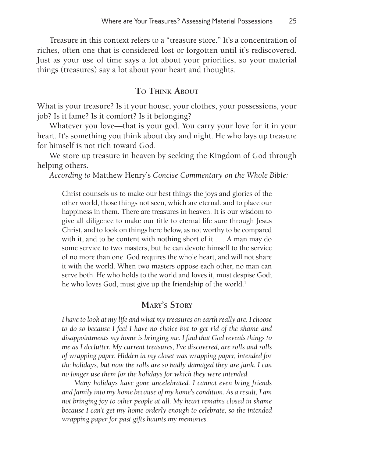Treasure in this context refers to a "treasure store." It's a concentration of riches, often one that is considered lost or forgotten until it's rediscovered. Just as your use of time says a lot about your priorities, so your material things (treasures) say a lot about your heart and thoughts.

#### **To Think About**

What is your treasure? Is it your house, your clothes, your possessions, your job? Is it fame? Is it comfort? Is it belonging?

Whatever you love—that is your god. You carry your love for it in your heart. It's something you think about day and night. He who lays up treasure for himself is not rich toward God.

We store up treasure in heaven by seeking the Kingdom of God through helping others.

*According to* Matthew Henry's *Concise Commentary on the Whole Bible:*

Christ counsels us to make our best things the joys and glories of the other world, those things not seen, which are eternal, and to place our happiness in them. There are treasures in heaven. It is our wisdom to give all diligence to make our title to eternal life sure through Jesus Christ, and to look on things here below, as not worthy to be compared with it, and to be content with nothing short of it . . . A man may do some service to two masters, but he can devote himself to the service of no more than one. God requires the whole heart, and will not share it with the world. When two masters oppose each other, no man can serve both. He who holds to the world and loves it, must despise God; he who loves God, must give up the friendship of the world.<sup>1</sup>

#### **Mary's Story**

*I have to look at my life and what my treasures on earth really are. I choose to do so because I feel I have no choice but to get rid of the shame and disappointments my home is bringing me. I find that God reveals things to me as I declutter. My current treasures, I've discovered, are rolls and rolls of wrapping paper. Hidden in my closet was wrapping paper, intended for the holidays, but now the rolls are so badly damaged they are junk. I can no longer use them for the holidays for which they were intended.*

*Many holidays have gone uncelebrated. I cannot even bring friends and family into my home because of my home's condition. As a result, I am not bringing joy to other people at all. My heart remains closed in shame because I can't get my home orderly enough to celebrate, so the intended wrapping paper for past gifts haunts my memories.*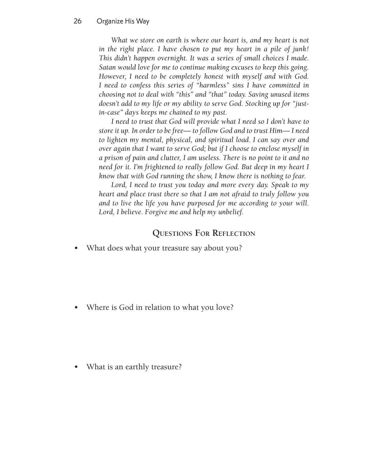*What we store on earth is where our heart is, and my heart is not in the right place. I have chosen to put my heart in a pile of junk! This didn't happen overnight. It was a series of small choices I made. Satan would love for me to continue making excuses to keep this going. However, I need to be completely honest with myself and with God. I need to confess this series of "harmless" sins I have committed in choosing not to deal with "this" and "that" today. Saving unused items doesn't add to my life or my ability to serve God. Stocking up for "justin-case" days keeps me chained to my past*.

*I need to trust that God will provide what I need so I don't have to store it up. In order to be free— to follow God and to trust Him— I need to lighten my mental, physical, and spiritual load. I can say over and over again that I want to serve God; but if I choose to enclose myself in a prison of pain and clutter, I am useless. There is no point to it and no need for it. I'm frightened to really follow God. But deep in my heart I know that with God running the show, I know there is nothing to fear.*

*Lord, I need to trust you today and more every day. Speak to my heart and place trust there so that I am not afraid to truly follow you and to live the life you have purposed for me according to your will. Lord, I believe. Forgive me and help my unbelief.*

### **Questions For Reflection**

What does what your treasure say about you?

• Where is God in relation to what you love?

What is an earthly treasure?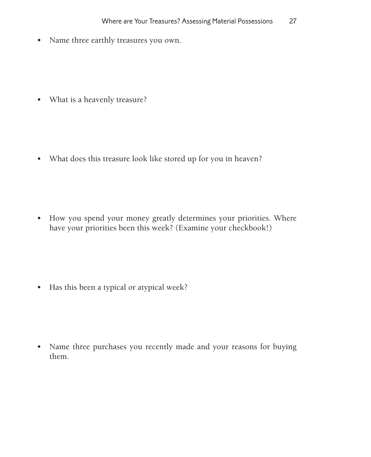• Name three earthly treasures you own.

• What is a heavenly treasure?

• What does this treasure look like stored up for you in heaven?

• How you spend your money greatly determines your priorities. Where have your priorities been this week? (Examine your checkbook!)

• Has this been a typical or atypical week?

• Name three purchases you recently made and your reasons for buying them.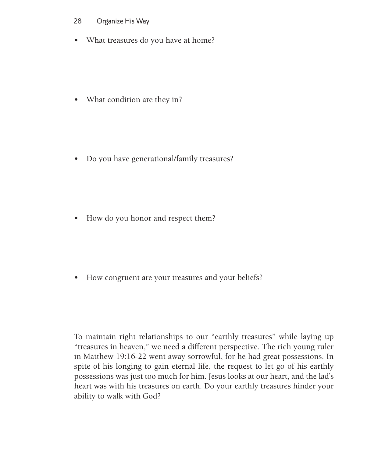#### 28 Organize His Way

• What treasures do you have at home?

• What condition are they in?

• Do you have generational/family treasures?

• How do you honor and respect them?

• How congruent are your treasures and your beliefs?

To maintain right relationships to our "earthly treasures" while laying up "treasures in heaven," we need a different perspective. The rich young ruler in Matthew 19:16-22 went away sorrowful, for he had great possessions. In spite of his longing to gain eternal life, the request to let go of his earthly possessions was just too much for him. Jesus looks at our heart, and the lad's heart was with his treasures on earth. Do your earthly treasures hinder your ability to walk with God?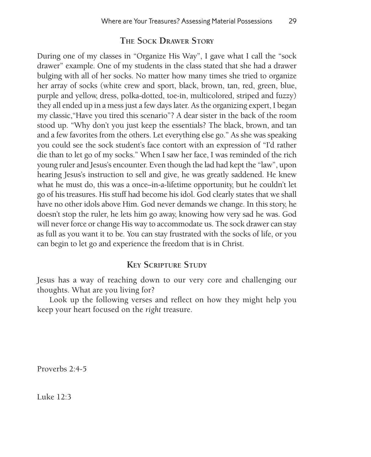#### **The Sock Drawer Story**

During one of my classes in "Organize His Way", I gave what I call the "sock drawer" example. One of my students in the class stated that she had a drawer bulging with all of her socks. No matter how many times she tried to organize her array of socks (white crew and sport, black, brown, tan, red, green, blue, purple and yellow, dress, polka-dotted, toe-in, multicolored, striped and fuzzy) they all ended up in a mess just a few days later. As the organizing expert, I began my classic,"Have you tired this scenario"? A dear sister in the back of the room stood up. "Why don't you just keep the essentials? The black, brown, and tan and a few favorites from the others. Let everything else go." As she was speaking you could see the sock student's face contort with an expression of "I'd rather die than to let go of my socks." When I saw her face, I was reminded of the rich young ruler and Jesus's encounter. Even though the lad had kept the "law", upon hearing Jesus's instruction to sell and give, he was greatly saddened. He knew what he must do, this was a once–in-a-lifetime opportunity, but he couldn't let go of his treasures. His stuff had become his idol. God clearly states that we shall have no other idols above Him. God never demands we change. In this story, he doesn't stop the ruler, he lets him go away, knowing how very sad he was. God will never force or change His way to accommodate us. The sock drawer can stay as full as you want it to be. You can stay frustrated with the socks of life, or you can begin to let go and experience the freedom that is in Christ.

#### **Key Scripture Study**

Jesus has a way of reaching down to our very core and challenging our thoughts. What are you living for?

Look up the following verses and reflect on how they might help you keep your heart focused on the *right* treasure.

Proverbs 2:4-5

Luke 12:3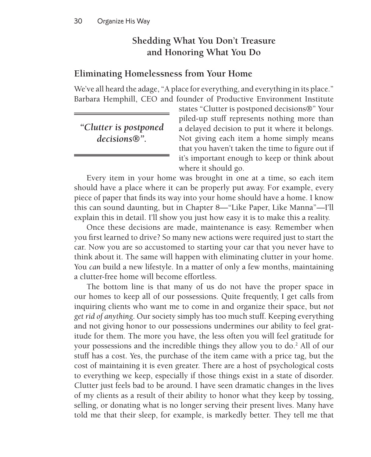# **Shedding What You Don't Treasure and Honoring What You Do**

#### **Eliminating Homelessness from Your Home**

We've all heard the adage, "A place for everything, and everything in its place." Barbara Hemphill, CEO and founder of Productive Environment Institute

*"Clutter is postponed decisions®".*

states "Clutter is postponed decisions®" Your piled-up stuff represents nothing more than a delayed decision to put it where it belongs. Not giving each item a home simply means that you haven't taken the time to figure out if it's important enough to keep or think about where it should go.

Every item in your home was brought in one at a time, so each item should have a place where it can be properly put away. For example, every piece of paper that finds its way into your home should have a home. I know this can sound daunting, but in Chapter 8—"Like Paper, Like Manna"—I'll explain this in detail. I'll show you just how easy it is to make this a reality.

Once these decisions are made, maintenance is easy. Remember when you first learned to drive? So many new actions were required just to start the car. Now you are so accustomed to starting your car that you never have to think about it. The same will happen with eliminating clutter in your home. You *can* build a new lifestyle. In a matter of only a few months, maintaining a clutter-free home will become effortless.

The bottom line is that many of us do not have the proper space in our homes to keep all of our possessions. Quite frequently, I get calls from inquiring clients who want me to come in and organize their space, but *not get rid of anything*. Our society simply has too much stuff. Keeping everything and not giving honor to our possessions undermines our ability to feel gratitude for them. The more you have, the less often you will feel gratitude for your possessions and the incredible things they allow you to do.2 All of our stuff has a cost. Yes, the purchase of the item came with a price tag, but the cost of maintaining it is even greater. There are a host of psychological costs to everything we keep, especially if those things exist in a state of disorder. Clutter just feels bad to be around. I have seen dramatic changes in the lives of my clients as a result of their ability to honor what they keep by tossing, selling, or donating what is no longer serving their present lives. Many have told me that their sleep, for example, is markedly better. They tell me that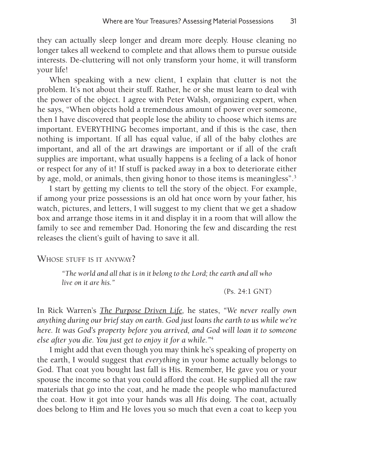they can actually sleep longer and dream more deeply. House cleaning no longer takes all weekend to complete and that allows them to pursue outside interests. De-cluttering will not only transform your home, it will transform your life!

When speaking with a new client, I explain that clutter is not the problem. It's not about their stuff. Rather, he or she must learn to deal with the power of the object. I agree with Peter Walsh, organizing expert, when he says, "When objects hold a tremendous amount of power over someone, then I have discovered that people lose the ability to choose which items are important. EVERYTHING becomes important, and if this is the case, then nothing is important. If all has equal value, if all of the baby clothes are important, and all of the art drawings are important or if all of the craft supplies are important, what usually happens is a feeling of a lack of honor or respect for any of it! If stuff is packed away in a box to deteriorate either by age, mold, or animals, then giving honor to those items is meaningless".3

I start by getting my clients to tell the story of the object. For example, if among your prize possessions is an old hat once worn by your father, his watch, pictures, and letters, I will suggest to my client that we get a shadow box and arrange those items in it and display it in a room that will allow the family to see and remember Dad. Honoring the few and discarding the rest releases the client's guilt of having to save it all.

#### Whose stuff is it anyway?

*"The world and all that is in it belong to the Lord; the earth and all who live on it are his."*

(Ps. 24:1 GNT)

In Rick Warren's *The Purpose Driven Life,* he states, *"We never really own anything during our brief stay on earth. God just loans the earth to us while we're here. It was God's property before you arrived, and God will loan it to someone else after you die. You just get to enjoy it for a while."*<sup>4</sup>

I might add that even though you may think he's speaking of property on the earth, I would suggest that *everything* in your home actually belongs to God. That coat you bought last fall is His. Remember, He gave you or your spouse the income so that you could afford the coat. He supplied all the raw materials that go into the coat, and he made the people who manufactured the coat. How it got into your hands was all *His* doing. The coat, actually does belong to Him and He loves you so much that even a coat to keep you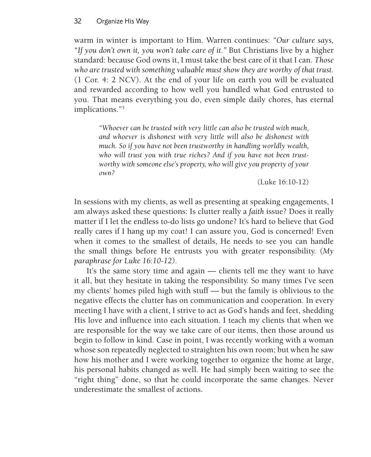warm in winter is important to Him. Warren continues: *"Our culture says, "If you don't own it, you won't take care of it."* But Christians live by a higher standard: because God owns it, I must take the best care of it that I can. *Those who are trusted with something valuable must show they are worthy of that trust.* (1 Cor. 4: 2 NCV). At the end of your life on earth you will be evaluated and rewarded according to how well you handled what God entrusted to you. That means everything you do, even simple daily chores, has eternal implications."5

*"Whoever can be trusted with very little can also be trusted with much, and whoever is dishonest with very little will also be dishonest with much. So if you have not been trustworthy in handling worldly wealth, who will trust you with true riches? And if you have not been trustworthy with someone else's property, who will give you property of your own?*

(Luke 16:10-12)

In sessions with my clients, as well as presenting at speaking engagements, I am always asked these questions: Is clutter really a *faith* issue? Does it really matter if I let the endless to-do lists go undone? It's hard to believe that God really cares if I hang up my coat! I can assure you, God is concerned! Even when it comes to the smallest of details, He needs to see you can handle the small things before He entrusts you with greater responsibility. (*My paraphrase for Luke 16:10-12).*

It's the same story time and again — clients tell me they want to have it all, but they hesitate in taking the responsibility. So many times I've seen my clients' homes piled high with stuff — but the family is oblivious to the negative effects the clutter has on communication and cooperation. In every meeting I have with a client, I strive to act as God's hands and feet, shedding His love and influence into each situation. I teach my clients that when we are responsible for the way we take care of our items, then those around us begin to follow in kind. Case in point, I was recently working with a woman whose son repeatedly neglected to straighten his own room; but when he saw how his mother and I were working together to organize the home at large, his personal habits changed as well. He had simply been waiting to see the "right thing" done, so that he could incorporate the same changes. Never underestimate the smallest of actions**.**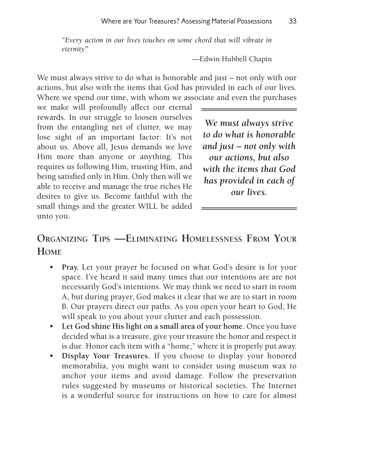*"Every action in our lives touches on some chord that will vibrate in eternity"*

—Edwin Hubbell Chapin

We must always strive to do what is honorable and just – not only with our actions, but also with the items that God has provided in each of our lives. Where we spend our time, with whom we associate and even the purchases

we make will profoundly affect our eternal rewards. In our struggle to loosen ourselves from the entangling net of clutter, we may lose sight of an important factor: It's not about us. Above all, Jesus demands we love Him more than anyone or anything. This requires us following Him, trusting Him, and being satisfied only in Him. Only then will we able to receive and manage the true riches He desires to give us. Become faithful with the small things and the greater WILL be added unto you.

*We must always strive to do what is honorable and just – not only with our actions, but also with the items that God has provided in each of our lives.*

# **Organizing Tips —Eliminating Homelessness From Your Home**

- **Pray.** Let your prayer be focused on what God's desire is for your space. I've heard it said many times that our intentions are are not necessarily God's intentions. We may think we need to start in room A, but during prayer, God makes it clear that we are to start in room B. Our prayers direct our paths. As you open your heart to God, He will speak to you about your clutter and each possession.
- • **Let God shine His light on a small area of your home.** Once you have decided what is a treasure, give your treasure the honor and respect it is due. Honor each item with a "home," where it is properly put away.
- • **Display Your Treasures.** If you choose to display your honored memorabilia, you might want to consider using museum wax to anchor your items and avoid damage. Follow the preservation rules suggested by museums or historical societies. The Internet is a wonderful source for instructions on how to care for almost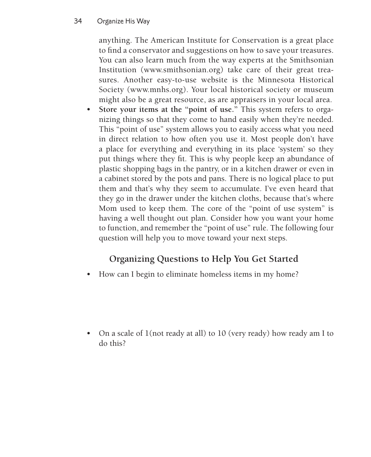anything. The American Institute for Conservation is a great place to find a conservator and suggestions on how to save your treasures. You can also learn much from the way experts at the Smithsonian Institution (www.smithsonian.org) take care of their great treasures. Another easy-to-use website is the Minnesota Historical Society (www.mnhs.org). Your local historical society or museum might also be a great resource, as are appraisers in your local area.

Store your items at the "point of use." This system refers to organizing things so that they come to hand easily when they're needed. This "point of use" system allows you to easily access what you need in direct relation to how often you use it. Most people don't have a place for everything and everything in its place 'system' so they put things where they fit. This is why people keep an abundance of plastic shopping bags in the pantry, or in a kitchen drawer or even in a cabinet stored by the pots and pans. There is no logical place to put them and that's why they seem to accumulate. I've even heard that they go in the drawer under the kitchen cloths, because that's where Mom used to keep them. The core of the "point of use system" is having a well thought out plan. Consider how you want your home to function, and remember the "point of use" rule. The following four question will help you to move toward your next steps.

# **Organizing Questions to Help You Get Started**

How can I begin to eliminate homeless items in my home?

On a scale of  $1$ (not ready at all) to  $10$  (very ready) how ready am I to do this?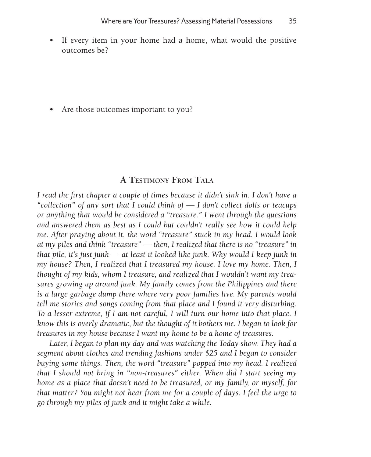• If every item in your home had a home, what would the positive outcomes be?

Are those outcomes important to you?

#### **A Testimony From Tala**

*I read the first chapter a couple of times because it didn't sink in. I don't have a "collection" of any sort that I could think of — I don't collect dolls or teacups or anything that would be considered a "treasure." I went through the questions and answered them as best as I could but couldn't really see how it could help me. After praying about it, the word "treasure" stuck in my head. I would look at my piles and think "treasure" — then, I realized that there is no "treasure" in that pile, it's just junk — at least it looked like junk. Why would I keep junk in my house? Then, I realized that I treasured my house. I love my home. Then, I thought of my kids, whom I treasure, and realized that I wouldn't want my treasures growing up around junk. My family comes from the Philippines and there is a large garbage dump there where very poor families live. My parents would tell me stories and songs coming from that place and I found it very disturbing. To a lesser extreme, if I am not careful, I will turn our home into that place. I know this is overly dramatic, but the thought of it bothers me. I began to look for treasures in my house because I want my home to be a home of treasures.*

Later, I began to plan my day and was watching the Today show. They had a *segment about clothes and trending fashions under \$25 and I began to consider buying some things. Then, the word "treasure" popped into my head. I realized that I should not bring in "non-treasures" either. When did I start seeing my home as a place that doesn't need to be treasured, or my family, or myself, for that matter? You might not hear from me for a couple of days. I feel the urge to go through my piles of junk and it might take a while.*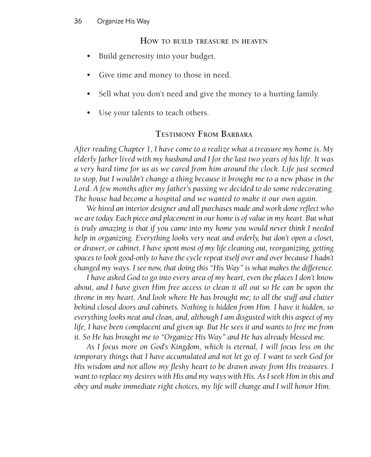#### **How to build treasure in heaven**

- Build generosity into your budget.
- Give time and money to those in need.
- Sell what you don't need and give the money to a hurting family.
- Use your talents to teach others.

#### **Testimony From Barbara**

*After reading Chapter 1, I have come to a realize what a treasure my home is. My elderly father lived with my husband and I for the last two years of his life. It was a very hard time for us as we cared from him around the clock. Life just seemed to stop, but I wouldn't change a thing because it brought me to a new phase in the*  Lord. A few months after my father's passing we decided to do some redecorating. *The house had become a hospital and we wanted to make it our own again.*

*We hired an interior designer and all purchases made and work done reflect who we are today. Each piece and placement in our home is of value in my heart. But what is truly amazing is that if you came into my home you would never think I needed help in organizing. Everything looks very neat and orderly, but don't open a closet, or drawer, or cabinet. I have spent most of my life cleaning out, reorganizing, getting spaces to look good-only to have the cycle repeat itself over and over because I hadn't changed my ways. I see now, that doing this "His Way" is what makes the difference.*

*I have asked God to go into every area of my heart, even the places I don't know about, and I have given Him free access to clean it all out so He can be upon the throne in my heart. And look where He has brought me; to all the stuff and clutter behind closed doors and cabinets. Nothing is hidden from Him. I have it hidden, so everything looks neat and clean, and, although I am disgusted with this aspect of my life, I have been complacent and given up. But He sees it and wants to free me from it. So He has brought me to "Organize His Way" and He has already blessed me.*

*As I focus more on God's Kingdom, which is eternal, I will focus less on the temporary things that I have accumulated and not let go of. I want to seek God for His wisdom and not allow my fleshy heart to be drawn away from His treasures. I want to replace my desires with His and my ways with His. As I seek Him in this and obey and make immediate right choices, my life will change and I will honor Him.*